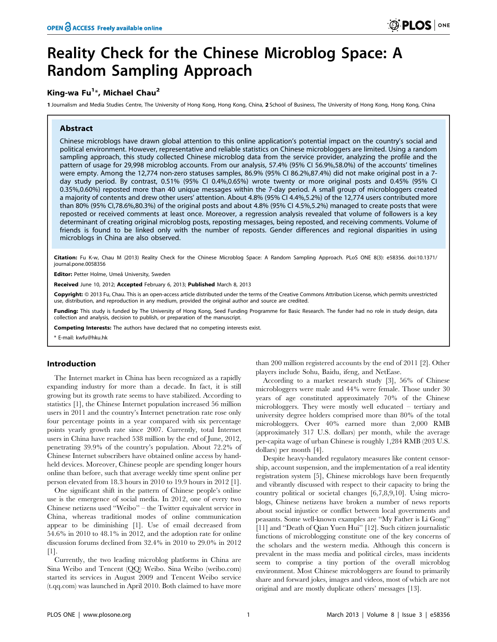# Reality Check for the Chinese Microblog Space: A Random Sampling Approach

## King-wa Fu<sup>1</sup>\*, Michael Chau<sup>2</sup>

1 Journalism and Media Studies Centre, The University of Hong Kong, Hong Kong, China, 2 School of Business, The University of Hong Kong, Hong Kong, China

#### Abstract

Chinese microblogs have drawn global attention to this online application's potential impact on the country's social and political environment. However, representative and reliable statistics on Chinese microbloggers are limited. Using a random sampling approach, this study collected Chinese microblog data from the service provider, analyzing the profile and the pattern of usage for 29,998 microblog accounts. From our analysis, 57.4% (95% CI 56.9%,58.0%) of the accounts' timelines were empty. Among the 12,774 non-zero statuses samples, 86.9% (95% CI 86.2%,87.4%) did not make original post in a 7 day study period. By contrast, 0.51% (95% CI 0.4%,0.65%) wrote twenty or more original posts and 0.45% (95% CI 0.35%,0.60%) reposted more than 40 unique messages within the 7-day period. A small group of microbloggers created a majority of contents and drew other users' attention. About 4.8% (95% CI 4.4%,5.2%) of the 12,774 users contributed more than 80% (95% CI,78.6%,80.3%) of the original posts and about 4.8% (95% CI 4.5%,5.2%) managed to create posts that were reposted or received comments at least once. Moreover, a regression analysis revealed that volume of followers is a key determinant of creating original microblog posts, reposting messages, being reposted, and receiving comments. Volume of friends is found to be linked only with the number of reposts. Gender differences and regional disparities in using microblogs in China are also observed.

Citation: Fu K-w, Chau M (2013) Reality Check for the Chinese Microblog Space: A Random Sampling Approach. PLoS ONE 8(3): e58356. doi:10.1371/ journal.pone.0058356

Editor: Petter Holme, Umeå University, Sweden

Received June 10, 2012; Accepted February 6, 2013; Published March 8, 2013

Copyright: @ 2013 Fu, Chau. This is an open-access article distributed under the terms of the Creative Commons Attribution License, which permits unrestricted use, distribution, and reproduction in any medium, provided the original author and source are credited.

Funding: This study is funded by The University of Hong Kong, Seed Funding Programme for Basic Research. The funder had no role in study design, data collection and analysis, decision to publish, or preparation of the manuscript.

Competing Interests: The authors have declared that no competing interests exist.

\* E-mail: kwfu@hku.hk

#### Introduction

The Internet market in China has been recognized as a rapidly expanding industry for more than a decade. In fact, it is still growing but its growth rate seems to have stabilized. According to statistics [1], the Chinese Internet population increased 56 million users in 2011 and the country's Internet penetration rate rose only four percentage points in a year compared with six percentage points yearly growth rate since 2007. Currently, total Internet users in China have reached 538 million by the end of June, 2012, penetrating 39.9% of the country's population. About 72.2% of Chinese Internet subscribers have obtained online access by handheld devices. Moreover, Chinese people are spending longer hours online than before, such that average weekly time spent online per person elevated from 18.3 hours in 2010 to 19.9 hours in 2012 [1].

One significant shift in the pattern of Chinese people's online use is the emergence of social media. In 2012, one of every two Chinese netizens used ''Weibo'' – the Twitter equivalent service in China, whereas traditional modes of online communication appear to be diminishing [1]. Use of email decreased from 54.6% in 2010 to 48.1% in 2012, and the adoption rate for online discussion forums declined from 32.4% in 2010 to 29.0% in 2012 [1].

Currently, the two leading microblog platforms in China are Sina Weibo and Tencent (QQ) Weibo. Sina Weibo (weibo.com) started its services in August 2009 and Tencent Weibo service (t.qq.com) was launched in April 2010. Both claimed to have more

than 200 million registered accounts by the end of 2011 [2]. Other players include Sohu, Baidu, ifeng, and NetEase.

According to a market research study [3], 56% of Chinese microbloggers were male and 44% were female. Those under 30 years of age constituted approximately 70% of the Chinese microbloggers. They were mostly well educated – tertiary and university degree holders comprised more than 80% of the total microbloggers. Over 40% earned more than 2,000 RMB (approximately 317 U.S. dollars) per month, while the average per-capita wage of urban Chinese is roughly 1,284 RMB (203 U.S. dollars) per month [4].

Despite heavy-handed regulatory measures like content censorship, account suspension, and the implementation of a real identity registration system [5], Chinese microblogs have been frequently and vibrantly discussed with respect to their capacity to bring the country political or societal changes [6,7,8,9,10]. Using microblogs, Chinese netizens have broken a number of news reports about social injustice or conflict between local governments and peasants. Some well-known examples are ''My Father is Li Gong'' [11] and ''Death of Qian Yuen Hui'' [12]. Such citizen journalistic functions of microblogging constitute one of the key concerns of the scholars and the western media. Although this concern is prevalent in the mass media and political circles, mass incidents seem to comprise a tiny portion of the overall microblog environment. Most Chinese microbloggers are found to primarily share and forward jokes, images and videos, most of which are not original and are mostly duplicate others' messages [13].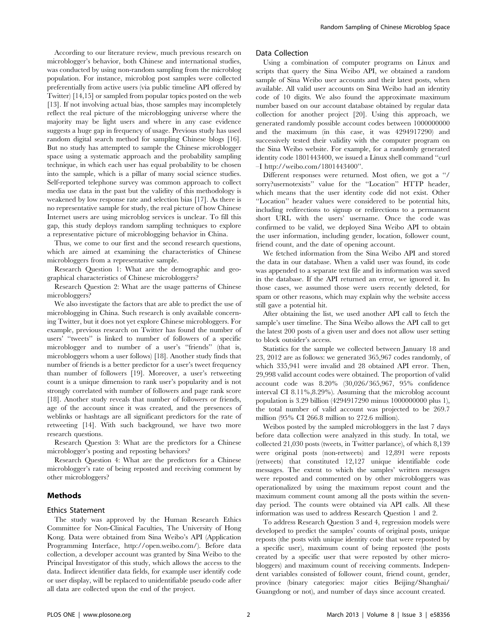According to our literature review, much previous research on microblogger's behavior, both Chinese and international studies, was conducted by using non-random sampling from the microblog population. For instance, microblog post samples were collected preferentially from active users (via public timeline API offered by Twitter) [14,15] or sampled from popular topics posted on the web [13]. If not involving actual bias, those samples may incompletely reflect the real picture of the microblogging universe where the majority may be light users and where in any case evidence suggests a huge gap in frequency of usage. Previous study has used random digital search method for sampling Chinese blogs [16]. But no study has attempted to sample the Chinese microblogger space using a systematic approach and the probability sampling technique, in which each user has equal probability to be chosen into the sample, which is a pillar of many social science studies. Self-reported telephone survey was common approach to collect media use data in the past but the validity of this methodology is weakened by low response rate and selection bias [17]. As there is no representative sample for study, the real picture of how Chinese Internet users are using microblog services is unclear. To fill this gap, this study deploys random sampling techniques to explore a representative picture of microblogging behavior in China.

Thus, we come to our first and the second research questions, which are aimed at examining the characteristics of Chinese microbloggers from a representative sample.

Research Question 1: What are the demographic and geographical characteristics of Chinese microbloggers?

Research Question 2: What are the usage patterns of Chinese microbloggers?

We also investigate the factors that are able to predict the use of microblogging in China. Such research is only available concerning Twitter, but it does not yet explore Chinese microbloggers. For example, previous research on Twitter has found the number of users' "tweets" is linked to number of followers of a specific microblogger and to number of a user's ''friends'' (that is, microbloggers whom a user follows) [18]. Another study finds that number of friends is a better predictor for a user's tweet frequency than number of followers [19]. Moreover, a user's retweeting count is a unique dimension to rank user's popularity and is not strongly correlated with number of followers and page rank score [18]. Another study reveals that number of followers or friends, age of the account since it was created, and the presences of weblinks or hashtags are all significant predictors for the rate of retweeting [14]. With such background, we have two more research questions.

Research Question 3: What are the predictors for a Chinese microblogger's posting and reposting behaviors?

Research Question 4: What are the predictors for a Chinese microblogger's rate of being reposted and receiving comment by other microbloggers?

#### Methods

#### Ethics Statement

The study was approved by the Human Research Ethics Committee for Non-Clinical Faculties, The University of Hong Kong. Data were obtained from Sina Weibo's API (Application Programming Interface, http://open.weibo.com/). Before data collection, a developer account was granted by Sina Weibo to the Principal Investigator of this study, which allows the access to the data. Indirect identifier data fields, for example user identify code or user display, will be replaced to unidentifiable pseudo code after all data are collected upon the end of the project.

#### Data Collection

Using a combination of computer programs on Linux and scripts that query the Sina Weibo API, we obtained a random sample of Sina Weibo user accounts and their latest posts, when available. All valid user accounts on Sina Weibo had an identity code of 10 digits. We also found the approximate maximum number based on our account database obtained by regular data collection for another project [20]. Using this approach, we generated randomly possible account codes between 1000000000 and the maximum (in this case, it was 4294917290) and successively tested their validity with the computer program on the Sina Weibo website. For example, for a randomly generated identity code 1801443400, we issued a Linux shell command ''curl –I http://weibo.com/1801443400''.

Different responses were returned. Most often, we got a ''/ sorry?usernotexists'' value for the ''Location'' HTTP header, which means that the user identity code did not exist. Other ''Location'' header values were considered to be potential hits, including redirections to signup or redirections to a permanent short URL with the users' username. Once the code was confirmed to be valid, we deployed Sina Weibo API to obtain the user information, including gender, location, follower count, friend count, and the date of opening account.

We fetched information from the Sina Weibo API and stored the data in our database. When a valid user was found, its code was appended to a separate text file and its information was saved in the database. If the API returned an error, we ignored it. In those cases, we assumed those were users recently deleted, for spam or other reasons, which may explain why the website access still gave a potential hit.

After obtaining the list, we used another API call to fetch the sample's user timeline. The Sina Weibo allows the API call to get the latest 200 posts of a given user and does not allow user setting to block outsider's access.

Statistics for the sample we collected between January 18 and 23, 2012 are as follows: we generated 365,967 codes randomly, of which 335,941 were invalid and 28 obtained API error. Then, 29,998 valid account codes were obtained. The proportion of valid account code was 8.20% (30,026/365,967, 95% confidence interval CI 8.11%,8.29%). Assuming that the microblog account population is 3.29 billion (4294917290 minus 1000000000 plus 1), the total number of valid account was projected to be 269.7 million (95% CI 266.8 million to 272.6 million).

Weibos posted by the sampled microbloggers in the last 7 days before data collection were analyzed in this study. In total, we collected 21,030 posts (tweets, in Twitter parlance), of which 8,139 were original posts (non-retweets) and 12,891 were reposts (retweets) that constituted 12,127 unique identifiable code messages. The extent to which the samples' written messages were reposted and commented on by other microbloggers was operationalized by using the maximum repost count and the maximum comment count among all the posts within the sevenday period. The counts were obtained via API calls. All these information was used to address Research Question 1 and 2.

To address Research Question 3 and 4, regression models were developed to predict the samples' counts of original posts, unique reposts (the posts with unique identity code that were reposted by a specific user), maximum count of being reposted (the posts created by a specific user that were reposted by other microbloggers) and maximum count of receiving comments. Independent variables consisted of follower count, friend count, gender, province (binary categories: major cities Beijing/Shanghai/ Guangdong or not), and number of days since account created.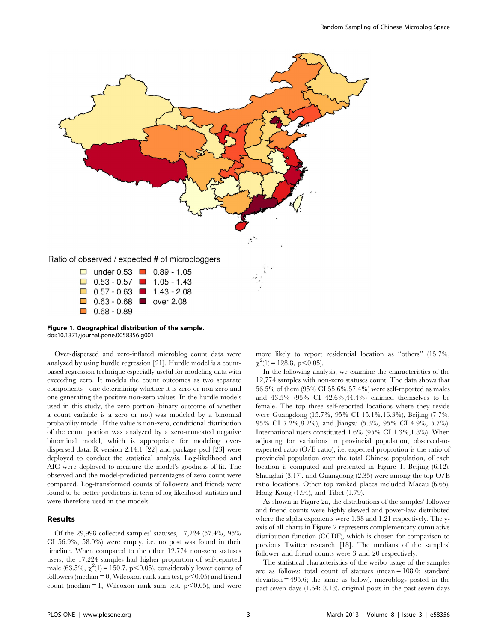



Over-dispersed and zero-inflated microblog count data were analyzed by using hurdle regression [21]. Hurdle model is a countbased regression technique especially useful for modeling data with exceeding zero. It models the count outcomes as two separate components - one determining whether it is zero or non-zero and one generating the positive non-zero values. In the hurdle models used in this study, the zero portion (binary outcome of whether a count variable is a zero or not) was modeled by a binomial probability model. If the value is non-zero, conditional distribution of the count portion was analyzed by a zero-truncated negative binominal model, which is appropriate for modeling overdispersed data. R version 2.14.1 [22] and package pscl [23] were deployed to conduct the statistical analysis. Log-likelihood and AIC were deployed to measure the model's goodness of fit. The observed and the model-predicted percentages of zero count were compared. Log-transformed counts of followers and friends were found to be better predictors in term of log-likelihood statistics and were therefore used in the models.

## Results

Of the 29,998 collected samples' statuses, 17,224 (57.4%, 95% CI 56.9%, 58.0%) were empty, i.e. no post was found in their timeline. When compared to the other 12,774 non-zero statuses users, the 17,224 samples had higher proportion of self-reported male (63.5%,  $\chi^2(1) = 150.7$ , p<0.05), considerably lower counts of followers (median = 0, Wilcoxon rank sum test,  $p$  < 0.05) and friend count (median  $= 1$ , Wilcoxon rank sum test, p $\leq 0.05$ ), and were more likely to report residential location as ''others'' (15.7%,  $\chi^2(1) = 128.8, \, \text{p} < 0.05$ ).

In the following analysis, we examine the characteristics of the 12,774 samples with non-zero statuses count. The data shows that 56.5% of them (95% CI 55.6%,57.4%) were self-reported as males and 43.5% (95% CI 42.6%,44.4%) claimed themselves to be female. The top three self-reported locations where they reside were Guangdong (15.7%, 95% CI 15.1%,16.3%), Beijing (7.7%, 95% CI 7.2%,8.2%), and Jiangsu (5.3%, 95% CI 4.9%, 5.7%). International users constituted 1.6% (95% CI 1.3%,1.8%). When adjusting for variations in provincial population, observed-toexpected ratio (O/E ratio), i.e. expected proportion is the ratio of provincial population over the total Chinese population, of each location is computed and presented in Figure 1. Beijing  $(6.12)$ , Shanghai (3.17), and Guangdong (2.35) were among the top O/E ratio locations. Other top ranked places included Macau (6.65), Hong Kong (1.94), and Tibet (1.79).

As shown in Figure 2a, the distributions of the samples' follower and friend counts were highly skewed and power-law distributed where the alpha exponents were 1.38 and 1.21 respectively. The yaxis of all charts in Figure 2 represents complementary cumulative distribution function (CCDF), which is chosen for comparison to previous Twitter research [18]. The medians of the samples' follower and friend counts were 3 and 20 respectively.

The statistical characteristics of the weibo usage of the samples are as follows: total count of statuses (mean = 108.0; standard deviation = 495.6; the same as below), microblogs posted in the past seven days (1.64; 8.18), original posts in the past seven days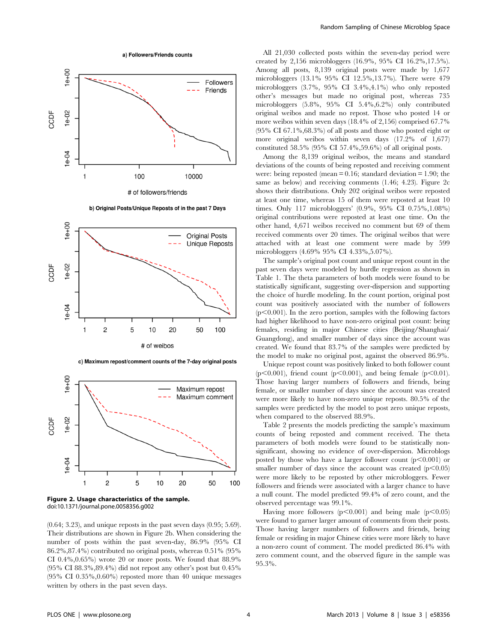



b) Original Posts/Unique Reposts of in the past 7 Days



c) Maximum repost/comment counts of the 7-day original posts



Figure 2. Usage characteristics of the sample. doi:10.1371/journal.pone.0058356.g002

(0.64; 3.23), and unique reposts in the past seven days (0.95; 5.69). Their distributions are shown in Figure 2b. When considering the number of posts within the past seven-day, 86.9% (95% CI 86.2%,87.4%) contributed no original posts, whereas 0.51% (95% CI 0.4%,0.65%) wrote 20 or more posts. We found that 88.9% (95% CI 88.3%,89.4%) did not repost any other's post but 0.45%  $(95\% \text{ CI } 0.35\%, 0.60\%)$  reposted more than 40 unique messages written by others in the past seven days.

All 21,030 collected posts within the seven-day period were created by 2,156 microbloggers (16.9%, 95% CI 16.2%,17.5%). Among all posts, 8,139 original posts were made by 1,677 microbloggers (13.1% 95% CI 12.5%,13.7%). There were 479 microbloggers (3.7%, 95% CI 3.4%,4.1%) who only reposted other's messages but made no original post, whereas 735 microbloggers (5.8%, 95% CI 5.4%,6.2%) only contributed original weibos and made no repost. Those who posted 14 or more weibos within seven days (18.4% of 2,156) comprised 67.7% (95% CI 67.1%,68.3%) of all posts and those who posted eight or more original weibos within seven days (17.2% of 1,677) constituted 58.5% (95% CI 57.4%,59.6%) of all original posts.

Among the 8,139 original weibos, the means and standard deviations of the counts of being reposted and receiving comment were: being reposted (mean  $= 0.16$ ; standard deviation  $= 1.90$ ; the same as below) and receiving comments (1.46; 4.23). Figure 2c shows their distributions. Only 202 original weibos were reposted at least one time, whereas 15 of them were reposted at least 10 times. Only 117 microbloggers' (0.9%, 95% CI 0.75%,1.08%) original contributions were reposted at least one time. On the other hand, 4,671 weibos received no comment but 69 of them received comments over 20 times. The original weibos that were attached with at least one comment were made by 599 microbloggers (4.69% 95% CI 4.33%,5.07%).

The sample's original post count and unique repost count in the past seven days were modeled by hurdle regression as shown in Table 1. The theta parameters of both models were found to be statistically significant, suggesting over-dispersion and supporting the choice of hurdle modeling. In the count portion, original post count was positively associated with the number of followers  $(p<0.001)$ . In the zero portion, samples with the following factors had higher likelihood to have non-zero original post count: being females, residing in major Chinese cities (Beijing/Shanghai/ Guangdong), and smaller number of days since the account was created. We found that 83.7% of the samples were predicted by the model to make no original post, against the observed 86.9%.

Unique repost count was positively linked to both follower count ( $p<0.001$ ), friend count ( $p<0.001$ ), and being female ( $p<0.01$ ). Those having larger numbers of followers and friends, being female, or smaller number of days since the account was created were more likely to have non-zero unique reposts. 80.5% of the samples were predicted by the model to post zero unique reposts, when compared to the observed 88.9%.

Table 2 presents the models predicting the sample's maximum counts of being reposted and comment received. The theta parameters of both models were found to be statistically nonsignificant, showing no evidence of over-dispersion. Microblogs posted by those who have a larger follower count  $(p<0.001)$  or smaller number of days since the account was created  $(p<0.05)$ were more likely to be reposted by other microbloggers. Fewer followers and friends were associated with a larger chance to have a null count. The model predicted 99.4% of zero count, and the observed percentage was 99.1%.

Having more followers  $(p<0.001)$  and being male  $(p<0.05)$ were found to garner larger amount of comments from their posts. Those having larger numbers of followers and friends, being female or residing in major Chinese cities were more likely to have a non-zero count of comment. The model predicted 86.4% with zero comment count, and the observed figure in the sample was 95.3%.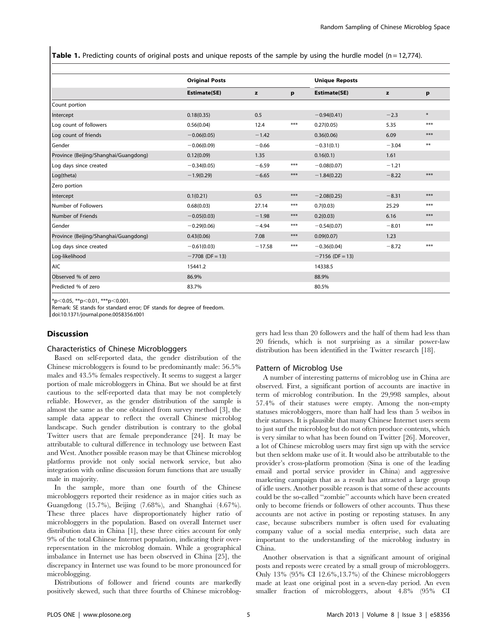**Table 1.** Predicting counts of original posts and unique reposts of the sample by using the hurdle model ( $n = 12,774$ ).

|                                       | <b>Original Posts</b> |          |       | <b>Unique Reposts</b> |         |        |  |
|---------------------------------------|-----------------------|----------|-------|-----------------------|---------|--------|--|
|                                       | Estimate(SE)          | z        | p     | Estimate(SE)          | z       | p      |  |
| Count portion                         |                       |          |       |                       |         |        |  |
| Intercept                             | 0.18(0.35)            | 0.5      |       | $-0.94(0.41)$         | $-2.3$  | $\ast$ |  |
| Log count of followers                | 0.56(0.04)            | 12.4     | $***$ | 0.27(0.05)            | 5.35    | $***$  |  |
| Log count of friends                  | $-0.06(0.05)$         | $-1.42$  |       | 0.36(0.06)            | 6.09    | $***$  |  |
| Gender                                | $-0.06(0.09)$         | $-0.66$  |       | $-0.31(0.1)$          | $-3.04$ | $***$  |  |
| Province (Beijing/Shanghai/Guangdong) | 0.12(0.09)            | 1.35     |       | 0.16(0.1)             | 1.61    |        |  |
| Log days since created                | $-0.34(0.05)$         | $-6.59$  | $***$ | $-0.08(0.07)$         | $-1.21$ |        |  |
| Log(theta)                            | $-1.9(0.29)$          | $-6.65$  | $***$ | $-1.84(0.22)$         | $-8.22$ | $***$  |  |
| Zero portion                          |                       |          |       |                       |         |        |  |
| Intercept                             | 0.1(0.21)             | 0.5      | $***$ | $-2.08(0.25)$         | $-8.31$ | $***$  |  |
| Number of Followers                   | 0.68(0.03)            | 27.14    | ***   | 0.7(0.03)             | 25.29   | $***$  |  |
| Number of Friends                     | $-0.05(0.03)$         | $-1.98$  | $***$ | 0.2(0.03)             | 6.16    | $***$  |  |
| Gender                                | $-0.29(0.06)$         | $-4.94$  | $***$ | $-0.54(0.07)$         | $-8.01$ | $***$  |  |
| Province (Beijing/Shanghai/Guangdong) | 0.43(0.06)            | 7.08     | $***$ | 0.09(0.07)            | 1.23    |        |  |
| Log days since created                | $-0.61(0.03)$         | $-17.58$ | $***$ | $-0.36(0.04)$         | $-8.72$ | $***$  |  |
| Log-likelihood                        | $-7708$ (DF = 13)     |          |       | $-7156$ (DF = 13)     |         |        |  |
| <b>AIC</b>                            | 15441.2               |          |       | 14338.5               |         |        |  |
| Observed % of zero                    | 86.9%                 |          |       | 88.9%                 |         |        |  |
| Predicted % of zero                   | 83.7%                 |          |       | 80.5%                 |         |        |  |

 $*p<0.05$ ,  $**p<0.01$ ,  $***p<0.001$ .

Remark: SE stands for standard error; DF stands for degree of freedom.

doi:10.1371/journal.pone.0058356.t001

## **Discussion**

#### Characteristics of Chinese Microbloggers

Based on self-reported data, the gender distribution of the Chinese microbloggers is found to be predominantly male: 56.5% males and 43.5% females respectively. It seems to suggest a larger portion of male microbloggers in China. But we should be at first cautious to the self-reported data that may be not completely reliable. However, as the gender distribution of the sample is almost the same as the one obtained from survey method [3], the sample data appear to reflect the overall Chinese microblog landscape. Such gender distribution is contrary to the global Twitter users that are female preponderance [24]. It may be attributable to cultural difference in technology use between East and West. Another possible reason may be that Chinese microblog platforms provide not only social network service, but also integration with online discussion forum functions that are usually male in majority.

In the sample, more than one fourth of the Chinese microbloggers reported their residence as in major cities such as Guangdong (15.7%), Beijing (7.68%), and Shanghai (4.67%). These three places have disproportionately higher ratio of microbloggers in the population. Based on overall Internet user distribution data in China [1], these three cities account for only 9% of the total Chinese Internet population, indicating their overrepresentation in the microblog domain. While a geographical imbalance in Internet use has been observed in China [25], the discrepancy in Internet use was found to be more pronounced for microblogging.

Distributions of follower and friend counts are markedly positively skewed, such that three fourths of Chinese microbloggers had less than 20 followers and the half of them had less than 20 friends, which is not surprising as a similar power-law distribution has been identified in the Twitter research [18].

#### Pattern of Microblog Use

A number of interesting patterns of microblog use in China are observed. First, a significant portion of accounts are inactive in term of microblog contribution. In the 29,998 samples, about 57.4% of their statuses were empty. Among the non-empty statuses microbloggers, more than half had less than 5 weibos in their statuses. It is plausible that many Chinese Internet users seem to just surf the microblog but do not often produce contents, which is very similar to what has been found on Twitter [26]. Moreover, a lot of Chinese microblog users may first sign up with the service but then seldom make use of it. It would also be attributable to the provider's cross-platform promotion (Sina is one of the leading email and portal service provider in China) and aggressive marketing campaign that as a result has attracted a large group of idle users. Another possible reason is that some of these accounts could be the so-called ''zombie'' accounts which have been created only to become friends or followers of other accounts. Thus these accounts are not active in posting or reposting statuses. In any case, because subscribers number is often used for evaluating company value of a social media enterprise, such data are important to the understanding of the microblog industry in China.

Another observation is that a significant amount of original posts and reposts were created by a small group of microbloggers. Only 13% (95% CI 12.6%,13.7%) of the Chinese microbloggers made at least one original post in a seven-day period. An even smaller fraction of microbloggers, about 4.8% (95% CI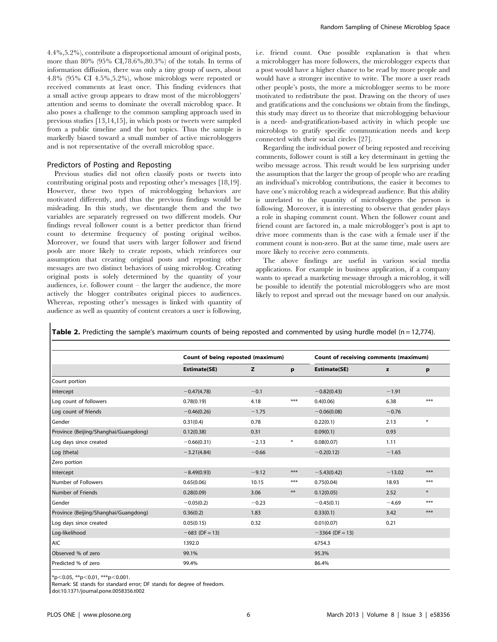4.4%,5.2%), contribute a disproportional amount of original posts, more than 80% (95% CI,78.6%,80.3%) of the totals. In terms of information diffusion, there was only a tiny group of users, about 4.8% (95% CI 4.5%,5.2%), whose microblogs were reposted or received comments at least once. This finding evidences that a small active group appears to draw most of the microbloggers' attention and seems to dominate the overall microblog space. It also poses a challenge to the common sampling approach used in previous studies [13,14,15], in which posts or tweets were sampled from a public timeline and the hot topics. Thus the sample is markedly biased toward a small number of active microbloggers and is not representative of the overall microblog space.

## Predictors of Posting and Reposting

Previous studies did not often classify posts or tweets into contributing original posts and reposting other's messages [18,19]. However, these two types of microblogging behaviors are motivated differently, and thus the previous findings would be misleading. In this study, we disentangle them and the two variables are separately regressed on two different models. Our findings reveal follower count is a better predictor than friend count to determine frequency of posting original weibos. Moreover, we found that users with larger follower and friend pools are more likely to create reposts, which reinforces our assumption that creating original posts and reposting other messages are two distinct behaviors of using microblog. Creating original posts is solely determined by the quantity of your audiences, i.e. follower count – the larger the audience, the more actively the blogger contributes original pieces to audiences. Whereas, reposting other's messages is linked with quantity of audience as well as quantity of content creators a user is following,

i.e. friend count. One possible explanation is that when a microblogger has more followers, the microblogger expects that a post would have a higher chance to be read by more people and would have a stronger incentive to write. The more a user reads other people's posts, the more a microblogger seems to be more motivated to redistribute the post. Drawing on the theory of uses and gratifications and the conclusions we obtain from the findings, this study may direct us to theorize that microblogging behaviour is a need- and-gratification-based activity in which people use microblogs to gratify specific communication needs and keep connected with their social circles [27].

Regarding the individual power of being reposted and receiving comments, follower count is still a key determinant in getting the weibo message across. This result would be less surprising under the assumption that the larger the group of people who are reading an individual's microblog contributions, the easier it becomes to have one's microblog reach a widespread audience. But this ability is unrelated to the quantity of microbloggers the person is following. Moreover, it is interesting to observe that gender plays a role in shaping comment count. When the follower count and friend count are factored in, a male microblogger's post is apt to drive more comments than is the case with a female user if the comment count is non-zero. But at the same time, male users are more likely to receive zero comments.

The above findings are useful in various social media applications. For example in business application, if a company wants to spread a marketing message through a microblog, it will be possible to identify the potential microbloggers who are most likely to repost and spread out the message based on our analysis.

| <b>Table 2.</b> Predicting the sample's maximum counts of being reposted and commented by using hurdle model ( $n = 12,774$ ). |  |  |  |
|--------------------------------------------------------------------------------------------------------------------------------|--|--|--|
|--------------------------------------------------------------------------------------------------------------------------------|--|--|--|

|                                       |                     | Count of being reposted (maximum) |        |                   | Count of receiving comments (maximum) |        |  |
|---------------------------------------|---------------------|-----------------------------------|--------|-------------------|---------------------------------------|--------|--|
|                                       | <b>Estimate(SE)</b> | z                                 | p      | Estimate(SE)      | z                                     | р      |  |
| Count portion                         |                     |                                   |        |                   |                                       |        |  |
| Intercept                             | $-0.47(4.78)$       | $-0.1$                            |        | $-0.82(0.43)$     | $-1.91$                               |        |  |
| Log count of followers                | 0.78(0.19)          | 4.18                              | $***$  | 0.4(0.06)         | 6.38                                  | $***$  |  |
| Log count of friends                  | $-0.46(0.26)$       | $-1.75$                           |        | $-0.06(0.08)$     | $-0.76$                               |        |  |
| Gender                                | 0.31(0.4)           | 0.78                              |        | 0.22(0.1)         | 2.13                                  | $\ast$ |  |
| Province (Beijing/Shanghai/Guangdong) | 0.12(0.38)          | 0.31                              |        | 0.09(0.1)         | 0.93                                  |        |  |
| Log days since created                | $-0.66(0.31)$       | $-2.13$                           | $\ast$ | 0.08(0.07)        | 1.11                                  |        |  |
| Log (theta)                           | $-3.21(4.84)$       | $-0.66$                           |        | $-0.2(0.12)$      | $-1.65$                               |        |  |
| Zero portion                          |                     |                                   |        |                   |                                       |        |  |
| Intercept                             | $-8.49(0.93)$       | $-9.12$                           | $***$  | $-5.43(0.42)$     | $-13.02$                              | $***$  |  |
| Number of Followers                   | 0.65(0.06)          | 10.15                             | $***$  | 0.75(0.04)        | 18.93                                 | $***$  |  |
| Number of Friends                     | 0.28(0.09)          | 3.06                              | $***$  | 0.12(0.05)        | 2.52                                  | $\ast$ |  |
| Gender                                | $-0.05(0.2)$        | $-0.23$                           |        | $-0.45(0.1)$      | $-4.69$                               | $***$  |  |
| Province (Beijing/Shanghai/Guangdong) | 0.36(0.2)           | 1.83                              |        | 0.33(0.1)         | 3.42                                  | $***$  |  |
| Log days since created                | 0.05(0.15)          | 0.32                              |        | 0.01(0.07)        | 0.21                                  |        |  |
| Log-likelihood                        | $-683$ (DF = 13)    |                                   |        | $-3364$ (DF = 13) |                                       |        |  |
| <b>AIC</b>                            | 1392.0              |                                   |        | 6754.3            |                                       |        |  |
| Observed % of zero                    | 99.1%               |                                   |        | 95.3%             |                                       |        |  |
| Predicted % of zero                   | 99.4%               |                                   |        | 86.4%             |                                       |        |  |

 $*p<0.05$ ,  $**p<0.01$ ,  $***p<0.001$ .

Remark: SE stands for standard error; DF stands for degree of freedom.

doi:10.1371/journal.pone.0058356.t002